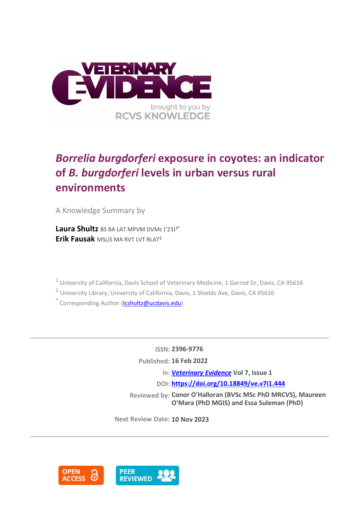

# *Borrelia burgdorferi* **exposure in coyotes: an indicator of** *B. burgdorferi* **levels in urban versus rural environments**

A Knowledge Summary by

Laura Shultz BS BA LAT MPVM DVMc ('23)<sup>1\*</sup> **Erik Fausak** MSLIS MA RVT LVT RLAT<sup>2</sup>

<sup>1</sup> University of California, Davis School of Veterinary Medicine, 1 Garrod Dr, Davis, CA 95616

<sup>2</sup> University Library, University of California, Davis, 1 Shields Ave, Davis, CA 95616

\* Corresponding Author (*lcshultz@ucdavis.edu*)

**ISSN: 2396-9776 Published: 16 Feb 2022 in:** *[Veterinary Evidence](https://veterinaryevidence.org/index.php/ve)* **Vol 7, Issue 1 DOI: <https://doi.org/10.18849/ve.v7i1.444>**

**Reviewed by: Conor O'Halloran (BVSc MSc PhD MRCVS), Maureen O'Mara (PhD MGIS) and Essa Suleman (PhD)**

**Next Review Date: 10 Nov 2023**

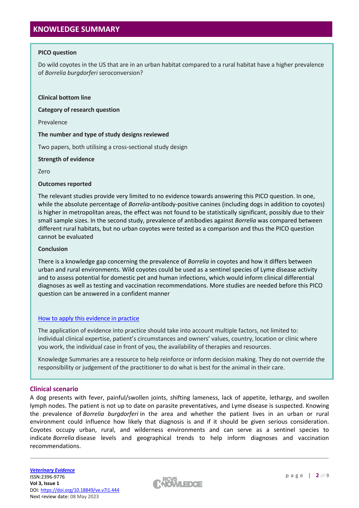# **KNOWLEDGE SUMMARY**

## **PICO question**

Do wild coyotes in the US that are in an urban habitat compared to a rural habitat have a higher prevalence of *Borrelia burgdorferi* seroconversion?

## **Clinical bottom line**

**Category of research question**

Prevalence

## **The number and type of study designs reviewed**

Two papers, both utilising a cross-sectional study design

## **Strength of evidence**

Zero

## **Outcomes reported**

The relevant studies provide very limited to no evidence towards answering this PICO question. In one, while the absolute percentage of *Borrelia*-antibody-positive canines (including dogs in addition to coyotes) is higher in metropolitan areas, the effect was not found to be statistically significant, possibly due to their small sample sizes. In the second study, prevalence of antibodies against *Borrelia* was compared between different rural habitats, but no urban coyotes were tested as a comparison and thus the PICO question cannot be evaluated

## **Conclusion**

There is a knowledge gap concerning the prevalence of *Borrelia* in coyotes and how it differs between urban and rural environments. Wild coyotes could be used as a sentinel species of Lyme disease activity and to assess potential for domestic pet and human infections, which would inform clinical differential diagnoses as well as testing and vaccination recommendations. More studies are needed before this PICO question can be answered in a confident manner

# [How to apply this evidence in practice](https://learn.rcvsknowledge.org/mod/book/view.php?id=50)

The application of evidence into practice should take into account multiple factors, not limited to: individual clinical expertise, patient's circumstances and owners' values, country, location or clinic where you work, the individual case in front of you, the availability of therapies and resources.

Knowledge Summaries are a resource to help reinforce or inform decision making. They do not override the responsibility or judgement of the practitioner to do what is best for the animal in their care.

# **Clinical scenario**

A dog presents with fever, painful/swollen joints, shifting lameness, lack of appetite, lethargy, and swollen lymph nodes. The patient is not up to date on parasite preventatives, and Lyme disease is suspected. Knowing the prevalence of *Borrelia burgdorferi* in the area and whether the patient lives in an urban or rural environment could influence how likely that diagnosis is and if it should be given serious consideration. Coyotes occupy urban, rural, and wilderness environments and can serve as a sentinel species to indicate *Borrelia* disease levels and geographical trends to help inform diagnoses and vaccination recommendations.

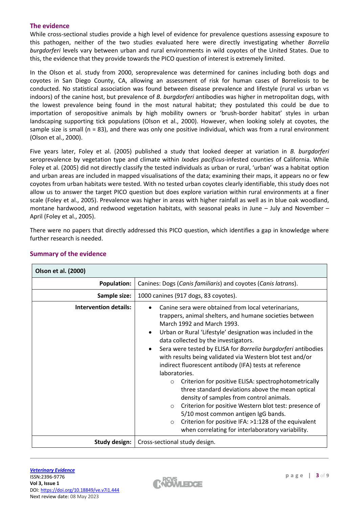# **The evidence**

While cross-sectional studies provide a high level of evidence for prevalence questions assessing exposure to this pathogen, neither of the two studies evaluated here were directly investigating whether *Borrelia burgdorferi* levels vary between urban and rural environments in wild coyotes of the United States. Due to this, the evidence that they provide towards the PICO question of interest is extremely limited.

In the Olson et al. study from 2000, seroprevalence was determined for canines including both dogs and coyotes in San Diego County, CA, allowing an assessment of risk for human cases of Borreliosis to be conducted. No statistical association was found between disease prevalence and lifestyle (rural vs urban vs indoors) of the canine host, but prevalence of *B. burgdorferi* antibodies was higher in metropolitan dogs, with the lowest prevalence being found in the most natural habitat; they postulated this could be due to importation of seropositive animals by high mobility owners or 'brush-border habitat' styles in urban landscaping supporting tick populations (Olson et al., 2000). However, when looking solely at coyotes, the sample size is small (n = 83), and there was only one positive individual, which was from a rural environment (Olson et al., 2000).

Five years later, Foley et al. (2005) published a study that looked deeper at variation in *B. burgdorferi* seroprevalence by vegetation type and climate within *Ixodes pacificus*-infested counties of California. While Foley et al. (2005) did not directly classify the tested individuals as urban or rural, 'urban' was a habitat option and urban areas are included in mapped visualisations of the data; examining their maps, it appears no or few coyotes from urban habitats were tested. With no tested urban coyotes clearly identifiable, this study does not allow us to answer the target PICO question but does explore variation within rural environments at a finer scale (Foley et al., 2005). Prevalence was higher in areas with higher rainfall as well as in blue oak woodland, montane hardwood, and redwood vegetation habitats, with seasonal peaks in June – July and November – April (Foley et al., 2005).

There were no papers that directly addressed this PICO question, which identifies a gap in knowledge where further research is needed.

| <b>Olson et al. (2000)</b>   |                                                                                                                                                                                                                                                                                                                                                                                                                                                                                                                                                                                                                                                                                                                                                                                                                                                                                |  |  |  |  |
|------------------------------|--------------------------------------------------------------------------------------------------------------------------------------------------------------------------------------------------------------------------------------------------------------------------------------------------------------------------------------------------------------------------------------------------------------------------------------------------------------------------------------------------------------------------------------------------------------------------------------------------------------------------------------------------------------------------------------------------------------------------------------------------------------------------------------------------------------------------------------------------------------------------------|--|--|--|--|
| <b>Population:</b>           | Canines: Dogs (Canis familiaris) and coyotes (Canis latrans).                                                                                                                                                                                                                                                                                                                                                                                                                                                                                                                                                                                                                                                                                                                                                                                                                  |  |  |  |  |
| Sample size:                 | 1000 canines (917 dogs, 83 coyotes).                                                                                                                                                                                                                                                                                                                                                                                                                                                                                                                                                                                                                                                                                                                                                                                                                                           |  |  |  |  |
| <b>Intervention details:</b> | Canine sera were obtained from local veterinarians,<br>trappers, animal shelters, and humane societies between<br>March 1992 and March 1993.<br>Urban or Rural 'Lifestyle' designation was included in the<br>data collected by the investigators.<br>Sera were tested by ELISA for Borrelia burgdorferi antibodies<br>$\bullet$<br>with results being validated via Western blot test and/or<br>indirect fluorescent antibody (IFA) tests at reference<br>laboratories.<br>Criterion for positive ELISA: spectrophotometrically<br>$\circ$<br>three standard deviations above the mean optical<br>density of samples from control animals.<br>Criterion for positive Western blot test: presence of<br>$\circ$<br>5/10 most common antigen IgG bands.<br>Criterion for positive IFA: >1:128 of the equivalent<br>$\circ$<br>when correlating for interlaboratory variability. |  |  |  |  |
| <b>Study design:</b>         | Cross-sectional study design.                                                                                                                                                                                                                                                                                                                                                                                                                                                                                                                                                                                                                                                                                                                                                                                                                                                  |  |  |  |  |

# **Summary of the evidence**

 $\Gamma$ 

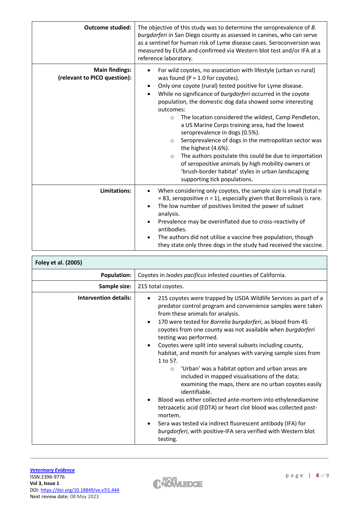| <b>Outcome studied:</b>                               | The objective of this study was to determine the seroprevalence of B.<br>burgdorferi in San Diego county as assessed in canines, who can serve<br>as a sentinel for human risk of Lyme disease cases. Seroconversion was<br>measured by ELISA and confirmed via Western blot test and/or IFA at a<br>reference laboratory.                                                                                                                                                                                                                                                                                                                                                                                                                                                                                  |  |  |  |  |
|-------------------------------------------------------|-------------------------------------------------------------------------------------------------------------------------------------------------------------------------------------------------------------------------------------------------------------------------------------------------------------------------------------------------------------------------------------------------------------------------------------------------------------------------------------------------------------------------------------------------------------------------------------------------------------------------------------------------------------------------------------------------------------------------------------------------------------------------------------------------------------|--|--|--|--|
| <b>Main findings:</b><br>(relevant to PICO question): | For wild coyotes, no association with lifestyle (urban vs rural)<br>was found ( $P = 1.0$ for coyotes).<br>Only one coyote (rural) tested positive for Lyme disease.<br>$\bullet$<br>While no significance of burgdorferi occurred in the coyote<br>$\bullet$<br>population, the domestic dog data showed some interesting<br>outcomes:<br>The location considered the wildest, Camp Pendleton,<br>$\circ$<br>a US Marine Corps training area, had the lowest<br>seroprevalence in dogs (0.5%).<br>Seroprevalence of dogs in the metropolitan sector was<br>$\circ$<br>the highest (4.6%).<br>The authors postulate this could be due to importation<br>$\circ$<br>of seropositive animals by high mobility owners or<br>'brush-border habitat' styles in urban landscaping<br>supporting tick populations. |  |  |  |  |
| Limitations:                                          | When considering only coyotes, the sample size is small (total n<br>$\bullet$<br>$= 83$ , seropositive $n = 1$ , especially given that Borreliosis is rare.<br>The low number of positives limited the power of subset<br>$\bullet$<br>analysis.<br>Prevalence may be overinflated due to cross-reactivity of<br>antibodies.<br>The authors did not utilise a vaccine free population, though<br>they state only three dogs in the study had received the vaccine.                                                                                                                                                                                                                                                                                                                                          |  |  |  |  |

| Foley et al. (2005)          |                                                                                                                                                                                                                                                                                                                                                                                                                                                                                                                                                                                                                                                                                                                                                                                                                                                                                                                                                                                                              |  |  |  |  |
|------------------------------|--------------------------------------------------------------------------------------------------------------------------------------------------------------------------------------------------------------------------------------------------------------------------------------------------------------------------------------------------------------------------------------------------------------------------------------------------------------------------------------------------------------------------------------------------------------------------------------------------------------------------------------------------------------------------------------------------------------------------------------------------------------------------------------------------------------------------------------------------------------------------------------------------------------------------------------------------------------------------------------------------------------|--|--|--|--|
| <b>Population:</b>           | Coyotes in Ixodes pacificus infested counties of California.                                                                                                                                                                                                                                                                                                                                                                                                                                                                                                                                                                                                                                                                                                                                                                                                                                                                                                                                                 |  |  |  |  |
| Sample size:                 | 215 total coyotes.                                                                                                                                                                                                                                                                                                                                                                                                                                                                                                                                                                                                                                                                                                                                                                                                                                                                                                                                                                                           |  |  |  |  |
| <b>Intervention details:</b> | 215 coyotes were trapped by USDA Wildlife Services as part of a<br>$\bullet$<br>predator control program and convenience samples were taken<br>from these animals for analysis.<br>170 were tested for Borrelia burgdorferi, as blood from 45<br>$\bullet$<br>coyotes from one county was not available when burgdorferi<br>testing was performed.<br>Coyotes were split into several subsets including county,<br>$\bullet$<br>habitat, and month for analyses with varying sample sizes from<br>1 to 57.<br>'Urban' was a habitat option and urban areas are<br>$\circ$<br>included in mapped visualisations of the data;<br>examining the maps, there are no urban coyotes easily<br>identifiable.<br>Blood was either collected ante-mortem into ethylenediamine<br>tetraacetic acid (EDTA) or heart clot blood was collected post-<br>mortem.<br>Sera was tested via indirect fluorescent antibody (IFA) for<br>$\bullet$<br>burgdorferi, with positive-IFA sera verified with Western blot<br>testing. |  |  |  |  |

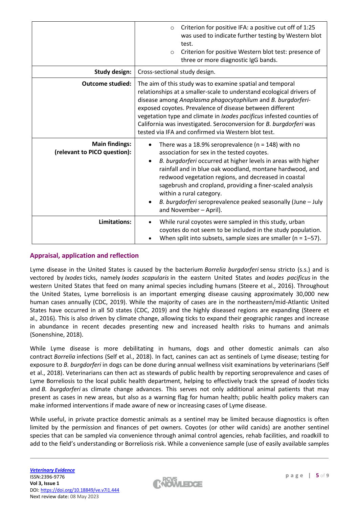|                                                       | Criterion for positive IFA: a positive cut off of 1:25<br>$\circ$<br>was used to indicate further testing by Western blot<br>test.<br>Criterion for positive Western blot test: presence of<br>$\Omega$<br>three or more diagnostic IgG bands.                                                                                                                                                                                                                               |  |  |  |  |
|-------------------------------------------------------|------------------------------------------------------------------------------------------------------------------------------------------------------------------------------------------------------------------------------------------------------------------------------------------------------------------------------------------------------------------------------------------------------------------------------------------------------------------------------|--|--|--|--|
| Study design:                                         | Cross-sectional study design.                                                                                                                                                                                                                                                                                                                                                                                                                                                |  |  |  |  |
| <b>Outcome studied:</b>                               | The aim of this study was to examine spatial and temporal<br>relationships at a smaller-scale to understand ecological drivers of<br>disease among Anaplasma phagocytophilum and B. burgdorferi-<br>exposed coyotes. Prevalence of disease between different<br>vegetation type and climate in <i>Ixodes pacificus</i> infested counties of<br>California was investigated. Seroconversion for B. burgdorferi was<br>tested via IFA and confirmed via Western blot test.     |  |  |  |  |
| <b>Main findings:</b><br>(relevant to PICO question): | There was a 18.9% seroprevalence ( $n = 148$ ) with no<br>association for sex in the tested coyotes.<br>B. burgdorferi occurred at higher levels in areas with higher<br>rainfall and in blue oak woodland, montane hardwood, and<br>redwood vegetation regions, and decreased in coastal<br>sagebrush and cropland, providing a finer-scaled analysis<br>within a rural category.<br>B. burgdorferi seroprevalence peaked seasonally (June - July<br>and November - April). |  |  |  |  |
| Limitations:                                          | While rural coyotes were sampled in this study, urban<br>coyotes do not seem to be included in the study population.<br>When split into subsets, sample sizes are smaller ( $n = 1-57$ ).                                                                                                                                                                                                                                                                                    |  |  |  |  |

# **Appraisal, application and reflection**

Lyme disease in the United States is caused by the bacterium *Borrelia burgdorferi* sensu stricto (s.s.) and is vectored by *Ixodes* ticks, namely *Ixodes scapularis* in the eastern United States and *Ixodes pacificus* in the western United States that feed on many animal species including humans (Steere et al., 2016). Throughout the United States, Lyme borreliosis is an important emerging disease causing approximately 30,000 new human cases annually (CDC, 2019). While the majority of cases are in the northeastern/mid-Atlantic United States have occurred in all 50 states (CDC, 2019) and the highly diseased regions are expanding (Steere et al.*,* 2016). This is also driven by climate change, allowing ticks to expand their geographic ranges and increase in abundance in recent decades presenting new and increased health risks to humans and animals (Sonenshine, 2018).

While Lyme disease is more debilitating in humans, dogs and other domestic animals can also contract *Borrelia* infections (Self et al., 2018). In fact, canines can act as sentinels of Lyme disease; testing for exposure to *B. burgdorferi* in dogs can be done during annual wellness visit examinations by veterinarians (Self et al., 2018). Veterinarians can then act as stewards of public health by reporting seroprevalence and cases of Lyme Borreliosis to the local public health department, helping to effectively track the spread of *Ixodes* ticks and *B. burgdorferi* as climate change advances. This serves not only additional animal patients that may present as cases in new areas, but also as a warning flag for human health; public health policy makers can make informed interventions if made aware of new or increasing cases of Lyme disease.

While useful, in private practice domestic animals as a sentinel may be limited because diagnostics is often limited by the permission and finances of pet owners. Coyotes (or other wild canids) are another sentinel species that can be sampled via convenience through animal control agencies, rehab facilities, and roadkill to add to the field's understanding or Borreliosis risk. While a convenience sample (use of easily available samples

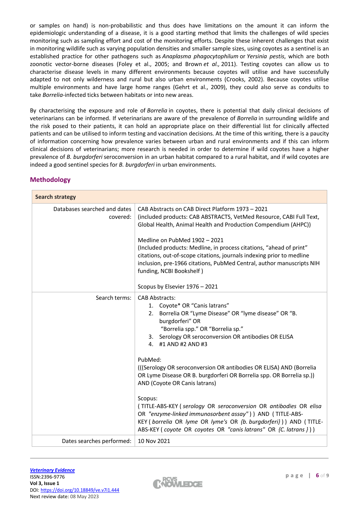or samples on hand) is non-probabilistic and thus does have limitations on the amount it can inform the epidemiologic understanding of a disease, it is a good starting method that limits the challenges of wild species monitoring such as sampling effort and cost of the monitoring efforts. Despite these inherent challenges that exist in monitoring wildlife such as varying population densities and smaller sample sizes, using coyotes as a sentinel is an established practice for other pathogens such as *Anaplasma phagocytophilum* or *Yersinia pestis*, which are both zoonotic vector-borne diseases (Foley et al., 2005; and Brown *et al.,* 2011). Testing coyotes can allow us to characterise disease levels in many different environments because coyotes will utilise and have successfully adapted to not only wilderness and rural but also urban environments (Crooks, 2002). Because coyotes utilise multiple environments and have large home ranges (Gehrt et al., 2009), they could also serve as conduits to take *Borrelia-*infected ticks between habitats or into new areas.

By characterising the exposure and role of *Borrelia* in coyotes, there is potential that daily clinical decisions of veterinarians can be informed. If veterinarians are aware of the prevalence of *Borrelia* in surrounding wildlife and the risk posed to their patients, it can hold an appropriate place on their differential list for clinically affected patients and can be utilised to inform testing and vaccination decisions. At the time of this writing, there is a paucity of information concerning how prevalence varies between urban and rural environments and if this can inform clinical decisions of veterinarians; more research is needed in order to determine if wild coyotes have a higher prevalence of *B. burgdorferi* seroconversion in an urban habitat compared to a rural habitat, and if wild coyotes are indeed a good sentinel species for *B. burgdorferi* in urban environments.

| <b>Search strategy</b>                   |                                                                                                                                                                                                                                                                                                                                                                                                                                                                                                                                                                                                                                                                                                                                             |  |
|------------------------------------------|---------------------------------------------------------------------------------------------------------------------------------------------------------------------------------------------------------------------------------------------------------------------------------------------------------------------------------------------------------------------------------------------------------------------------------------------------------------------------------------------------------------------------------------------------------------------------------------------------------------------------------------------------------------------------------------------------------------------------------------------|--|
| Databases searched and dates<br>covered: | CAB Abstracts on CAB Direct Platform 1973 - 2021<br>(included products: CAB ABSTRACTS, VetMed Resource, CABI Full Text,<br>Global Health, Animal Health and Production Compendium (AHPC))<br>Medline on PubMed 1902 - 2021<br>(Included products: Medline, in process citations, "ahead of print"<br>citations, out-of-scope citations, journals indexing prior to medline<br>inclusion, pre-1966 citations, PubMed Central, author manuscripts NIH<br>funding, NCBI Bookshelf)<br>Scopus by Elsevier 1976 - 2021                                                                                                                                                                                                                           |  |
| Search terms:                            | <b>CAB Abstracts:</b><br>1. Coyote* OR "Canis latrans"<br>Borrelia OR "Lyme Disease" OR "lyme disease" OR "B.<br>2.<br>burgdorferi" OR<br>"Borrelia spp." OR "Borrelia sp."<br>3. Serology OR seroconversion OR antibodies OR ELISA<br>4. #1 AND #2 AND #3<br>PubMed:<br>(((Serology OR seroconversion OR antibodies OR ELISA) AND (Borrelia<br>OR Lyme Disease OR B. burgdorferi OR Borrelia spp. OR Borrelia sp.))<br>AND (Coyote OR Canis latrans)<br>Scopus:<br>(TITLE-ABS-KEY (serology OR seroconversion OR antibodies OR elisa<br>OR "enzyme-linked immunosorbent assay") ) AND (TITLE-ABS-<br>KEY (borrelia OR lyme OR lyme's OR {b. burgdorferi})) AND (TITLE-<br>ABS-KEY (coyote OR coyotes OR "canis latrans" OR {C. latrans })) |  |
| Dates searches performed:                | 10 Nov 2021                                                                                                                                                                                                                                                                                                                                                                                                                                                                                                                                                                                                                                                                                                                                 |  |

# **Methodology**

 $\mathbb{R}^n$ 

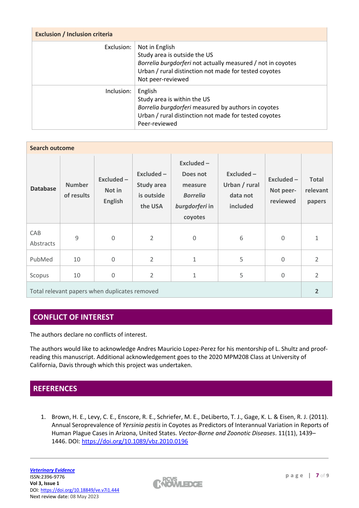| <b>Exclusion / Inclusion criteria</b> |                                                                                                                                                                                             |  |  |  |
|---------------------------------------|---------------------------------------------------------------------------------------------------------------------------------------------------------------------------------------------|--|--|--|
| Exclusion:                            | Not in English<br>Study area is outside the US<br>Borrelia burgdorferi not actually measured / not in coyotes<br>Urban / rural distinction not made for tested coyotes<br>Not peer-reviewed |  |  |  |
| Inclusion:                            | English<br>Study area is within the US<br>Borrelia burgdorferi measured by authors in coyotes<br>Urban / rural distinction not made for tested coyotes<br>Peer-reviewed                     |  |  |  |

| <b>Search outcome</b>                         |                             |                                        |                                                   |                                                                                  |                                                    |                                     |                                    |
|-----------------------------------------------|-----------------------------|----------------------------------------|---------------------------------------------------|----------------------------------------------------------------------------------|----------------------------------------------------|-------------------------------------|------------------------------------|
| <b>Database</b>                               | <b>Number</b><br>of results | Excluded -<br>Not in<br><b>English</b> | Excluded -<br>Study area<br>is outside<br>the USA | Excluded-<br>Does not<br>measure<br><b>Borrelia</b><br>burgdorferi in<br>coyotes | Excluded-<br>Urban / rural<br>data not<br>included | Excluded -<br>Not peer-<br>reviewed | <b>Total</b><br>relevant<br>papers |
| CAB<br>Abstracts                              | 9                           | $\Omega$                               | $\overline{2}$                                    | $\mathbf{0}$                                                                     | 6                                                  | $\mathbf 0$                         | $1\,$                              |
| PubMed                                        | 10                          | $\mathbf 0$                            | $\overline{2}$                                    | $\mathbf{1}$                                                                     | 5                                                  | $\mathbf 0$                         | $\overline{2}$                     |
| Scopus                                        | 10                          | 0                                      | $\overline{2}$                                    | $\mathbf{1}$                                                                     | 5                                                  | $\mathbf 0$                         | $\overline{2}$                     |
| Total relevant papers when duplicates removed |                             |                                        |                                                   |                                                                                  | $\overline{2}$                                     |                                     |                                    |

# **CONFLICT OF INTEREST**

The authors declare no conflicts of interest.

The authors would like to acknowledge Andres Mauricio Lopez-Perez for his mentorship of L. Shultz and proofreading this manuscript. Additional acknowledgement goes to the 2020 MPM208 Class at University of California, Davis through which this project was undertaken.

# **REFERENCES**

1. Brown, H. E., Levy, C. E., Enscore, R. E., Schriefer, M. E., DeLiberto, T. J., Gage, K. L. & Eisen, R. J. (2011). Annual Seroprevalence of *Yersinia pestis* in Coyotes as Predictors of Interannual Variation in Reports of Human Plague Cases in Arizona, United States. *Vector-Borne and Zoonotic Diseases*. 11(11), 1439– 1446. DOI: <https://doi.org/10.1089/vbz.2010.0196>

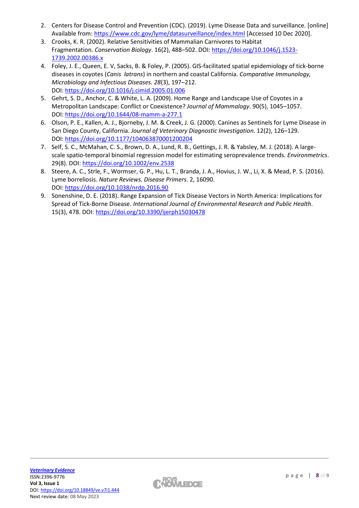- 2. Centers for Disease Control and Prevention (CDC). (2019). Lyme Disease Data and surveillance. [online] Available from: <https://www.cdc.gov/lyme/datasurveillance/index.html> [Accessed 10 Dec 2020].
- 3. Crooks, K. R. (2002). Relative Sensitivities of Mammalian Carnivores to Habitat Fragmentation. *Conservation Biology*. 16(2), 488–502. DOI: [https://doi.org/10.1046/j.1523-](https://doi.org/10.1046/j.1523-1739.2002.00386.x) [1739.2002.00386.x](https://doi.org/10.1046/j.1523-1739.2002.00386.x)
- 4. Foley, J. E., Queen, E. V, Sacks, B. & Foley, P. (2005). GIS-facilitated spatial epidemiology of tick-borne diseases in coyotes (*Canis latrans*) in northern and coastal California. *Comparative Immunology, Microbiology and Infectious Diseases. 28*(3), 197–212. DOI: <https://doi.org/10.1016/j.cimid.2005.01.006>
- 5. Gehrt, S. D., Anchor, C. & White, L. A. (2009). Home Range and Landscape Use of Coyotes in a Metropolitan Landscape: Conflict or Coexistence? *Journal of Mammalogy*. 90(5), 1045–1057. DOI: <https://doi.org/10.1644/08-mamm-a-277.1>
- 6. Olson, P. E., Kallen, A. J., Bjorneby, J. M. & Creek, J. G. (2000). Canines as Sentinels for Lyme Disease in San Diego County, California. *Journal of Veterinary Diagnostic Investigation*. 12(2), 126–129. DOI: <https://doi.org/10.1177/104063870001200204>
- 7. Self, S. C., McMahan, C. S., Brown, D. A., Lund, R. B., Gettings, J. R. & Yabsley, M. J. (2018). A largescale spatio-temporal binomial regression model for estimating seroprevalence trends. *Environmetrics*. 29(8). DOI: <https://doi.org/10.1002/env.2538>
- 8. Steere, A. C., Strle, F., Wormser, G. P., Hu, L. T., Branda, J. A., Hovius, J. W., Li, X. & Mead, P. S. (2016). Lyme borreliosis. *Nature Reviews. Disease Primers*. 2, 16090. DOI: <https://doi.org/10.1038/nrdp.2016.90>
- 9. Sonenshine, D. E. (2018). Range Expansion of Tick Disease Vectors in North America: Implications for Spread of Tick-Borne Disease. *International Journal of Environmental Research and Public Health*. 15(3), 478. DOI: <https://doi.org/10.3390/ijerph15030478>